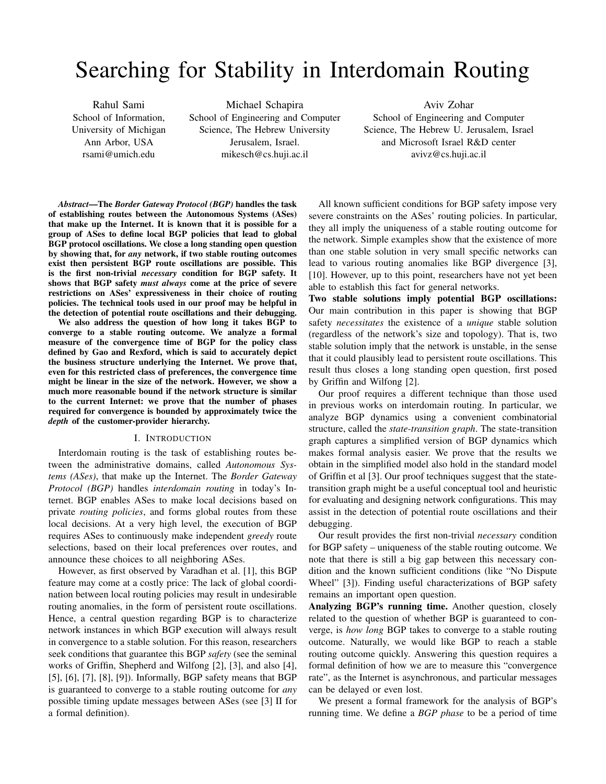# Searching for Stability in Interdomain Routing

Rahul Sami School of Information, University of Michigan Ann Arbor, USA rsami@umich.edu

Michael Schapira School of Engineering and Computer Science, The Hebrew University Jerusalem, Israel. mikesch@cs.huji.ac.il

Aviv Zohar School of Engineering and Computer Science, The Hebrew U. Jerusalem, Israel and Microsoft Israel R&D center avivz@cs.huji.ac.il

*Abstract***—The** *Border Gateway Protocol (BGP)* **handles the task of establishing routes between the Autonomous Systems (ASes) that make up the Internet. It is known that it is possible for a group of ASes to define local BGP policies that lead to global BGP protocol oscillations. We close a long standing open question by showing that, for** *any* **network, if two stable routing outcomes exist then persistent BGP route oscillations are possible. This is the first non-trivial** *necessary* **condition for BGP safety. It shows that BGP safety** *must always* **come at the price of severe restrictions on ASes' expressiveness in their choice of routing policies. The technical tools used in our proof may be helpful in the detection of potential route oscillations and their debugging.**

**We also address the question of how long it takes BGP to converge to a stable routing outcome. We analyze a formal measure of the convergence time of BGP for the policy class defined by Gao and Rexford, which is said to accurately depict the business structure underlying the Internet. We prove that, even for this restricted class of preferences, the convergence time might be linear in the size of the network. However, we show a much more reasonable bound if the network structure is similar to the current Internet: we prove that the number of phases required for convergence is bounded by approximately twice the** *depth* **of the customer-provider hierarchy.**

#### I. INTRODUCTION

Interdomain routing is the task of establishing routes between the administrative domains, called *Autonomous Systems (ASes)*, that make up the Internet. The *Border Gateway Protocol (BGP)* handles *interdomain routing* in today's Internet. BGP enables ASes to make local decisions based on private *routing policies*, and forms global routes from these local decisions. At a very high level, the execution of BGP requires ASes to continuously make independent *greedy* route selections, based on their local preferences over routes, and announce these choices to all neighboring ASes.

However, as first observed by Varadhan et al. [1], this BGP feature may come at a costly price: The lack of global coordination between local routing policies may result in undesirable routing anomalies, in the form of persistent route oscillations. Hence, a central question regarding BGP is to characterize network instances in which BGP execution will always result in convergence to a stable solution. For this reason, researchers seek conditions that guarantee this BGP *safety* (see the seminal works of Griffin, Shepherd and Wilfong [2], [3], and also [4], [5], [6], [7], [8], [9]). Informally, BGP safety means that BGP is guaranteed to converge to a stable routing outcome for *any* possible timing update messages between ASes (see [3] II for a formal definition).

All known sufficient conditions for BGP safety impose very severe constraints on the ASes' routing policies. In particular, they all imply the uniqueness of a stable routing outcome for the network. Simple examples show that the existence of more than one stable solution in very small specific networks can lead to various routing anomalies like BGP divergence [3], [10]. However, up to this point, researchers have not yet been able to establish this fact for general networks.

**Two stable solutions imply potential BGP oscillations:** Our main contribution in this paper is showing that BGP safety *necessitates* the existence of a *unique* stable solution (regardless of the network's size and topology). That is, two stable solution imply that the network is unstable, in the sense that it could plausibly lead to persistent route oscillations. This result thus closes a long standing open question, first posed by Griffin and Wilfong [2].

Our proof requires a different technique than those used in previous works on interdomain routing. In particular, we analyze BGP dynamics using a convenient combinatorial structure, called the *state-transition graph*. The state-transition graph captures a simplified version of BGP dynamics which makes formal analysis easier. We prove that the results we obtain in the simplified model also hold in the standard model of Griffin et al [3]. Our proof techniques suggest that the statetransition graph might be a useful conceptual tool and heuristic for evaluating and designing network configurations. This may assist in the detection of potential route oscillations and their debugging.

Our result provides the first non-trivial *necessary* condition for BGP safety – uniqueness of the stable routing outcome. We note that there is still a big gap between this necessary condition and the known sufficient conditions (like "No Dispute Wheel" [3]). Finding useful characterizations of BGP safety remains an important open question.

**Analyzing BGP's running time.** Another question, closely related to the question of whether BGP is guaranteed to converge, is *how long* BGP takes to converge to a stable routing outcome. Naturally, we would like BGP to reach a stable routing outcome quickly. Answering this question requires a formal definition of how we are to measure this "convergence rate", as the Internet is asynchronous, and particular messages can be delayed or even lost.

We present a formal framework for the analysis of BGP's running time. We define a *BGP phase* to be a period of time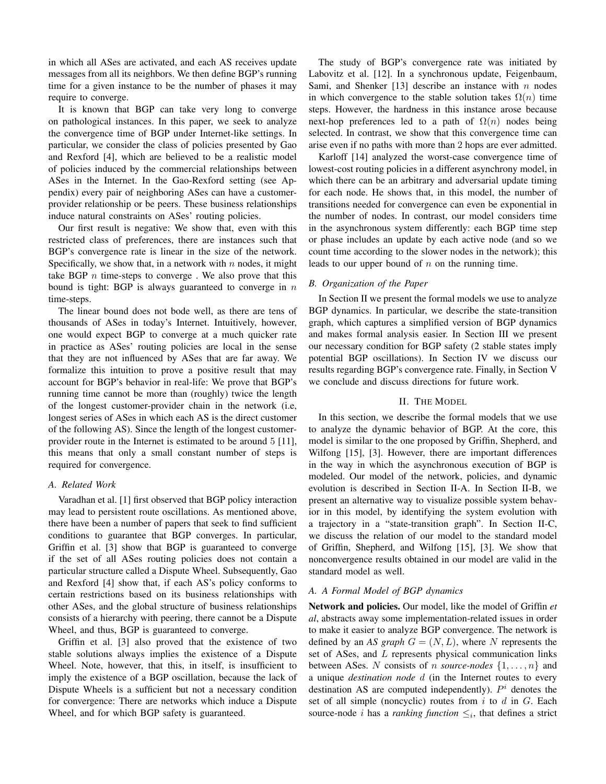in which all ASes are activated, and each AS receives update messages from all its neighbors. We then define BGP's running time for a given instance to be the number of phases it may require to converge.

It is known that BGP can take very long to converge on pathological instances. In this paper, we seek to analyze the convergence time of BGP under Internet-like settings. In particular, we consider the class of policies presented by Gao and Rexford [4], which are believed to be a realistic model of policies induced by the commercial relationships between ASes in the Internet. In the Gao-Rexford setting (see Appendix) every pair of neighboring ASes can have a customerprovider relationship or be peers. These business relationships induce natural constraints on ASes' routing policies.

Our first result is negative: We show that, even with this restricted class of preferences, there are instances such that BGP's convergence rate is linear in the size of the network. Specifically, we show that, in a network with  $n$  nodes, it might take BGP  $n$  time-steps to converge. We also prove that this bound is tight: BGP is always guaranteed to converge in  $n$ time-steps.

The linear bound does not bode well, as there are tens of thousands of ASes in today's Internet. Intuitively, however, one would expect BGP to converge at a much quicker rate in practice as ASes' routing policies are local in the sense that they are not influenced by ASes that are far away. We formalize this intuition to prove a positive result that may account for BGP's behavior in real-life: We prove that BGP's running time cannot be more than (roughly) twice the length of the longest customer-provider chain in the network (i.e, longest series of ASes in which each AS is the direct customer of the following AS). Since the length of the longest customerprovider route in the Internet is estimated to be around 5 [11], this means that only a small constant number of steps is required for convergence.

#### *A. Related Work*

Varadhan et al. [1] first observed that BGP policy interaction may lead to persistent route oscillations. As mentioned above, there have been a number of papers that seek to find sufficient conditions to guarantee that BGP converges. In particular, Griffin et al. [3] show that BGP is guaranteed to converge if the set of all ASes routing policies does not contain a particular structure called a Dispute Wheel. Subsequently, Gao and Rexford [4] show that, if each AS's policy conforms to certain restrictions based on its business relationships with other ASes, and the global structure of business relationships consists of a hierarchy with peering, there cannot be a Dispute Wheel, and thus, BGP is guaranteed to converge.

Griffin et al. [3] also proved that the existence of two stable solutions always implies the existence of a Dispute Wheel. Note, however, that this, in itself, is insufficient to imply the existence of a BGP oscillation, because the lack of Dispute Wheels is a sufficient but not a necessary condition for convergence: There are networks which induce a Dispute Wheel, and for which BGP safety is guaranteed.

The study of BGP's convergence rate was initiated by Labovitz et al. [12]. In a synchronous update, Feigenbaum, Sami, and Shenker [13] describe an instance with  $n$  nodes in which convergence to the stable solution takes  $\Omega(n)$  time steps. However, the hardness in this instance arose because next-hop preferences led to a path of  $\Omega(n)$  nodes being selected. In contrast, we show that this convergence time can arise even if no paths with more than 2 hops are ever admitted.

Karloff [14] analyzed the worst-case convergence time of lowest-cost routing policies in a different asynchrony model, in which there can be an arbitrary and adversarial update timing for each node. He shows that, in this model, the number of transitions needed for convergence can even be exponential in the number of nodes. In contrast, our model considers time in the asynchronous system differently: each BGP time step or phase includes an update by each active node (and so we count time according to the slower nodes in the network); this leads to our upper bound of  $n$  on the running time.

# *B. Organization of the Paper*

In Section II we present the formal models we use to analyze BGP dynamics. In particular, we describe the state-transition graph, which captures a simplified version of BGP dynamics and makes formal analysis easier. In Section III we present our necessary condition for BGP safety (2 stable states imply potential BGP oscillations). In Section IV we discuss our results regarding BGP's convergence rate. Finally, in Section V we conclude and discuss directions for future work.

## II. THE MODEL

In this section, we describe the formal models that we use to analyze the dynamic behavior of BGP. At the core, this model is similar to the one proposed by Griffin, Shepherd, and Wilfong [15], [3]. However, there are important differences in the way in which the asynchronous execution of BGP is modeled. Our model of the network, policies, and dynamic evolution is described in Section II-A. In Section II-B, we present an alternative way to visualize possible system behavior in this model, by identifying the system evolution with a trajectory in a "state-transition graph". In Section II-C, we discuss the relation of our model to the standard model of Griffin, Shepherd, and Wilfong [15], [3]. We show that nonconvergence results obtained in our model are valid in the standard model as well.

# *A. A Formal Model of BGP dynamics*

**Network and policies.** Our model, like the model of Griffin *et al*, abstracts away some implementation-related issues in order to make it easier to analyze BGP convergence. The network is defined by an *AS graph*  $G = (N, L)$ , where N represents the set of ASes, and L represents physical communication links between ASes. N consists of n *source-nodes* {1,...,n} and a unique *destination node* d (in the Internet routes to every destination AS are computed independently).  $P^i$  denotes the set of all simple (noncyclic) routes from  $i$  to  $d$  in  $G$ . Each source-node *i* has a *ranking function*  $\leq_i$ , that defines a strict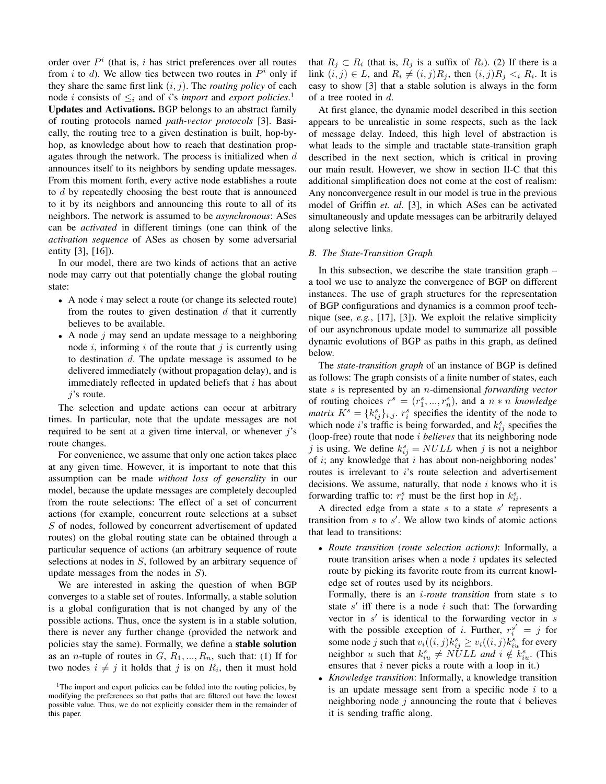order over  $P<sup>i</sup>$  (that is, i has strict preferences over all routes from i to d). We allow ties between two routes in  $P^i$  only if they share the same first link  $(i, j)$ . The *routing policy* of each node *i* consists of  $\leq_i$  and of *i*'s *import* and *export policies*.<sup>1</sup> **Updates and Activations.** BGP belongs to an abstract family of routing protocols named *path-vector protocols* [3]. Basically, the routing tree to a given destination is built, hop-byhop, as knowledge about how to reach that destination propagates through the network. The process is initialized when  $d$ announces itself to its neighbors by sending update messages. From this moment forth, every active node establishes a route to d by repeatedly choosing the best route that is announced to it by its neighbors and announcing this route to all of its neighbors. The network is assumed to be *asynchronous*: ASes can be *activated* in different timings (one can think of the *activation sequence* of ASes as chosen by some adversarial entity [3], [16]).

In our model, there are two kinds of actions that an active node may carry out that potentially change the global routing state:

- A node  $i$  may select a route (or change its selected route) from the routes to given destination  $d$  that it currently believes to be available.
- A node  $j$  may send an update message to a neighboring node i, informing i of the route that j is currently using to destination  $d$ . The update message is assumed to be delivered immediately (without propagation delay), and is immediately reflected in updated beliefs that  $i$  has about  $j$ 's route.

The selection and update actions can occur at arbitrary times. In particular, note that the update messages are not required to be sent at a given time interval, or whenever  $i$ 's route changes.

For convenience, we assume that only one action takes place at any given time. However, it is important to note that this assumption can be made *without loss of generality* in our model, because the update messages are completely decoupled from the route selections: The effect of a set of concurrent actions (for example, concurrent route selections at a subset S of nodes, followed by concurrent advertisement of updated routes) on the global routing state can be obtained through a particular sequence of actions (an arbitrary sequence of route selections at nodes in S, followed by an arbitrary sequence of update messages from the nodes in  $S$ ).

We are interested in asking the question of when BGP converges to a stable set of routes. Informally, a stable solution is a global configuration that is not changed by any of the possible actions. Thus, once the system is in a stable solution, there is never any further change (provided the network and policies stay the same). Formally, we define a **stable solution** as an *n*-tuple of routes in  $G, R_1, ..., R_n$ , such that: (1) If for two nodes  $i \neq j$  it holds that j is on  $R_i$ , then it must hold that  $R_j \subset R_i$  (that is,  $R_j$  is a suffix of  $R_i$ ). (2) If there is a link  $(i, j) \in L$ , and  $R_i \neq (i, j)R_j$ , then  $(i, j)R_j < iR_i$ . It is easy to show [3] that a stable solution is always in the form of a tree rooted in d.

At first glance, the dynamic model described in this section appears to be unrealistic in some respects, such as the lack of message delay. Indeed, this high level of abstraction is what leads to the simple and tractable state-transition graph described in the next section, which is critical in proving our main result. However, we show in section II-C that this additional simplification does not come at the cost of realism: Any nonconvergence result in our model is true in the previous model of Griffin *et. al.* [3], in which ASes can be activated simultaneously and update messages can be arbitrarily delayed along selective links.

#### *B. The State-Transition Graph*

In this subsection, we describe the state transition graph – a tool we use to analyze the convergence of BGP on different instances. The use of graph structures for the representation of BGP configurations and dynamics is a common proof technique (see, *e.g.*, [17], [3]). We exploit the relative simplicity of our asynchronous update model to summarize all possible dynamic evolutions of BGP as paths in this graph, as defined below.

The *state-transition graph* of an instance of BGP is defined as follows: The graph consists of a finite number of states, each state s is represented by an n-dimensional *forwarding vector* of routing choices  $r^s = (r_1^s, ..., r_n^s)$ , and a  $n * n$  *knowledge matrix*  $K^s = \{k_{ij}^s\}_{i,j}$ .  $r_i^s$  specifies the identity of the node to which node *i*'s traffic is being forwarded, and  $k_{ij}^s$  specifies the (loop-free) route that node i *believes* that its neighboring node j is using. We define  $k_{ij}^s = NULL$  when j is not a neighbor of  $i$ ; any knowledge that  $i$  has about non-neighboring nodes' routes is irrelevant to i's route selection and advertisement decisions. We assume, naturally, that node  $i$  knows who it is forwarding traffic to:  $r_i^s$  must be the first hop in  $k_{ii}^s$ .

A directed edge from a state  $s$  to a state  $s'$  represents a transition from  $s$  to  $s'$ . We allow two kinds of atomic actions that lead to transitions:

• *Route transition (route selection actions)*: Informally, a route transition arises when a node  $i$  updates its selected route by picking its favorite route from its current knowledge set of routes used by its neighbors.

Formally, there is an i*-route transition* from state s to state  $s'$  iff there is a node i such that: The forwarding vector in  $s'$  is identical to the forwarding vector in  $\overline{s}$ with the possible exception of i. Further,  $r_i^{s'} = j$  for some node j such that  $v_i((i, j)k_{ij}^s \ge v_i((i, j)k_{iu}^s$  for every neighbor u such that  $k_{iu}^s \neq \overrightarrow{NULL}$  and  $i \notin k_{iu}^s$ . (This ensures that *i* never picks a route with a loop in it.)

• *Knowledge transition*: Informally, a knowledge transition is an update message sent from a specific node  $i$  to a neighboring node  $j$  announcing the route that  $i$  believes it is sending traffic along.

<sup>&</sup>lt;sup>1</sup>The import and export policies can be folded into the routing policies, by modifying the preferences so that paths that are filtered out have the lowest possible value. Thus, we do not explicitly consider them in the remainder of this paper.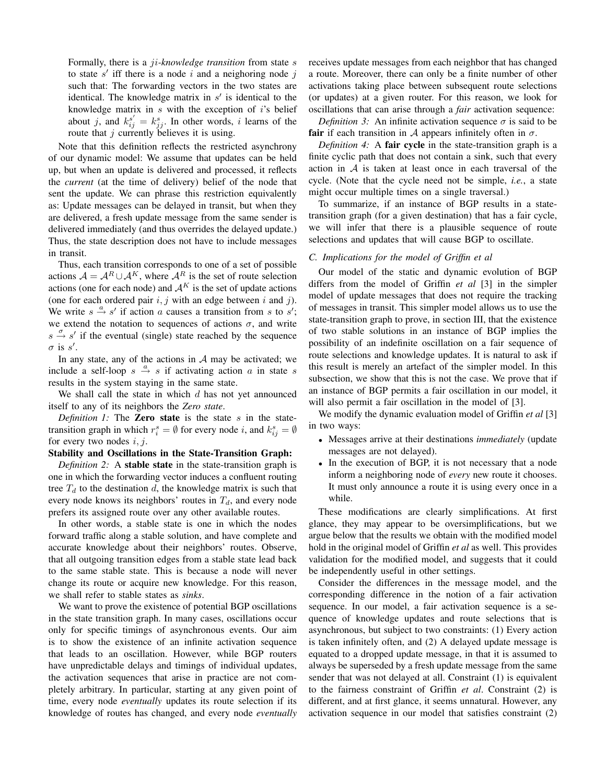Formally, there is a ji*-knowledge transition* from state s to state  $s'$  iff there is a node i and a neighoring node j such that: The forwarding vectors in the two states are identical. The knowledge matrix in  $s'$  is identical to the knowledge matrix in  $s$  with the exception of  $i$ 's belief about j, and  $k_{ij}^{s'} = k_{ji}^s$ . In other words, i learns of the route that  $j$  currently believes it is using.

Note that this definition reflects the restricted asynchrony of our dynamic model: We assume that updates can be held up, but when an update is delivered and processed, it reflects the *current* (at the time of delivery) belief of the node that sent the update. We can phrase this restriction equivalently as: Update messages can be delayed in transit, but when they are delivered, a fresh update message from the same sender is delivered immediately (and thus overrides the delayed update.) Thus, the state description does not have to include messages in transit.

Thus, each transition corresponds to one of a set of possible actions  $A = A^R \cup A^K$ , where  $A^R$  is the set of route selection actions (one for each node) and  $A^K$  is the set of update actions (one for each ordered pair  $i, j$  with an edge between i and j). We write  $s \stackrel{a}{\rightarrow} s'$  if action a causes a transition from s to s'; we extend the notation to sequences of actions  $\sigma$ , and write  $s \stackrel{\sigma}{\rightarrow} s'$  if the eventual (single) state reached by the sequence  $\sigma$  is s'.

In any state, any of the actions in  $A$  may be activated; we include a self-loop  $s \stackrel{a}{\rightarrow} s$  if activating action a in state s results in the system staying in the same state.

We shall call the state in which  $d$  has not yet announced itself to any of its neighbors the *Zero state*.

*Definition 1:* The **Zero state** is the state s in the statetransition graph in which  $r_i^s = \emptyset$  for every node i, and  $k_{ij}^s = \emptyset$ for every two nodes  $i, j$ .

# **Stability and Oscillations in the State-Transition Graph:**

*Definition 2:* A **stable state** in the state-transition graph is one in which the forwarding vector induces a confluent routing tree  $T_d$  to the destination d, the knowledge matrix is such that every node knows its neighbors' routes in  $T_d$ , and every node prefers its assigned route over any other available routes.

In other words, a stable state is one in which the nodes forward traffic along a stable solution, and have complete and accurate knowledge about their neighbors' routes. Observe, that all outgoing transition edges from a stable state lead back to the same stable state. This is because a node will never change its route or acquire new knowledge. For this reason, we shall refer to stable states as *sinks*.

We want to prove the existence of potential BGP oscillations in the state transition graph. In many cases, oscillations occur only for specific timings of asynchronous events. Our aim is to show the existence of an infinite activation sequence that leads to an oscillation. However, while BGP routers have unpredictable delays and timings of individual updates, the activation sequences that arise in practice are not completely arbitrary. In particular, starting at any given point of time, every node *eventually* updates its route selection if its knowledge of routes has changed, and every node *eventually* receives update messages from each neighbor that has changed a route. Moreover, there can only be a finite number of other activations taking place between subsequent route selections (or updates) at a given router. For this reason, we look for oscillations that can arise through a *fair* activation sequence:

*Definition 3:* An infinite activation sequence  $\sigma$  is said to be **fair** if each transition in A appears infinitely often in  $\sigma$ .

*Definition 4:* A **fair cycle** in the state-transition graph is a finite cyclic path that does not contain a sink, such that every action in A is taken at least once in each traversal of the cycle. (Note that the cycle need not be simple, *i.e.*, a state might occur multiple times on a single traversal.)

To summarize, if an instance of BGP results in a statetransition graph (for a given destination) that has a fair cycle, we will infer that there is a plausible sequence of route selections and updates that will cause BGP to oscillate.

## *C. Implications for the model of Griffin et al*

Our model of the static and dynamic evolution of BGP differs from the model of Griffin *et al* [3] in the simpler model of update messages that does not require the tracking of messages in transit. This simpler model allows us to use the state-transition graph to prove, in section III, that the existence of two stable solutions in an instance of BGP implies the possibility of an indefinite oscillation on a fair sequence of route selections and knowledge updates. It is natural to ask if this result is merely an artefact of the simpler model. In this subsection, we show that this is not the case. We prove that if an instance of BGP permits a fair oscillation in our model, it will also permit a fair oscillation in the model of [3].

We modify the dynamic evaluation model of Griffin *et al* [3] in two ways:

- Messages arrive at their destinations *immediately* (update messages are not delayed).
- In the execution of BGP, it is not necessary that a node inform a neighboring node of *every* new route it chooses. It must only announce a route it is using every once in a while.

These modifications are clearly simplifications. At first glance, they may appear to be oversimplifications, but we argue below that the results we obtain with the modified model hold in the original model of Griffin *et al* as well. This provides validation for the modified model, and suggests that it could be independently useful in other settings.

Consider the differences in the message model, and the corresponding difference in the notion of a fair activation sequence. In our model, a fair activation sequence is a sequence of knowledge updates and route selections that is asynchronous, but subject to two constraints: (1) Every action is taken infinitely often, and (2) A delayed update message is equated to a dropped update message, in that it is assumed to always be superseded by a fresh update message from the same sender that was not delayed at all. Constraint (1) is equivalent to the fairness constraint of Griffin *et al*. Constraint (2) is different, and at first glance, it seems unnatural. However, any activation sequence in our model that satisfies constraint (2)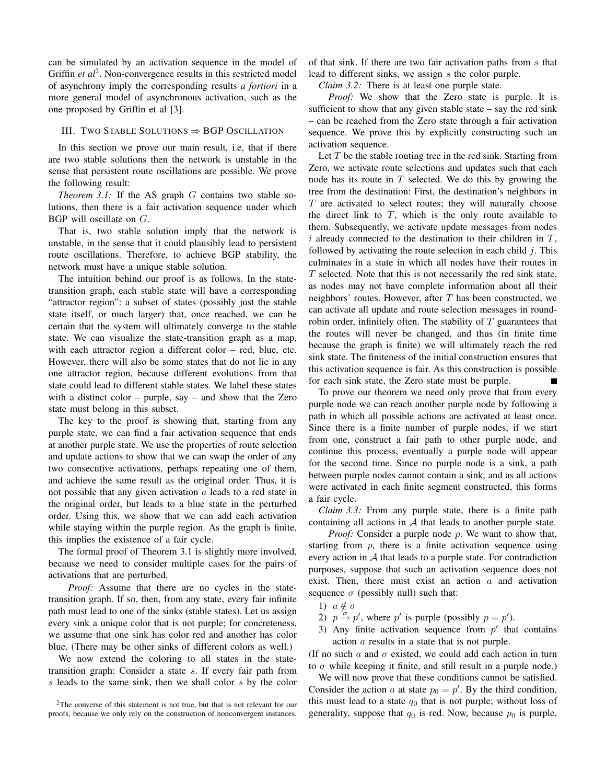can be simulated by an activation sequence in the model of Griffin *et al*<sup>2</sup>. Non-convergence results in this restricted model of asynchrony imply the corresponding results *a fortiori* in a more general model of asynchronous activation, such as the one proposed by Griffin et al [3].

## III. TWO STABLE SOLUTIONS  $\Rightarrow$  BGP OSCILLATION

In this section we prove our main result, i.e, that if there are two stable solutions then the network is unstable in the sense that persistent route oscillations are possible. We prove the following result:

*Theorem 3.1:* If the AS graph G contains two stable solutions, then there is a fair activation sequence under which BGP will oscillate on G.

That is, two stable solution imply that the network is unstable, in the sense that it could plausibly lead to persistent route oscillations. Therefore, to achieve BGP stability, the network must have a unique stable solution.

The intuition behind our proof is as follows. In the statetransition graph, each stable state will have a corresponding "attractor region": a subset of states (possibly just the stable state itself, or much larger) that, once reached, we can be certain that the system will ultimately converge to the stable state. We can visualize the state-transition graph as a map, with each attractor region a different color – red, blue, etc. However, there will also be some states that do not lie in any one attractor region, because different evolutions from that state could lead to different stable states. We label these states with a distinct color – purple, say – and show that the Zero state must belong in this subset.

The key to the proof is showing that, starting from any purple state, we can find a fair activation sequence that ends at another purple state. We use the properties of route selection and update actions to show that we can swap the order of any two consecutive activations, perhaps repeating one of them, and achieve the same result as the original order. Thus, it is not possible that any given activation  $a$  leads to a red state in the original order, but leads to a blue state in the perturbed order. Using this, we show that we can add each activation while staying within the purple region. As the graph is finite, this implies the existence of a fair cycle.

The formal proof of Theorem 3.1 is slightly more involved, because we need to consider multiple cases for the pairs of activations that are perturbed.

*Proof:* Assume that there are no cycles in the statetransition graph. If so, then, from any state, every fair infinite path must lead to one of the sinks (stable states). Let us assign every sink a unique color that is not purple; for concreteness, we assume that one sink has color red and another has color blue. (There may be other sinks of different colors as well.)

We now extend the coloring to all states in the statetransition graph: Consider a state s. If every fair path from  $s$  leads to the same sink, then we shall color  $s$  by the color

<sup>2</sup>The converse of this statement is not true, but that is not relevant for our proofs, because we only rely on the construction of nonconvergent instances. of that sink. If there are two fair activation paths from s that lead to different sinks, we assign s the color purple.

*Claim 3.2:* There is at least one purple state.

*Proof:* We show that the Zero state is purple. It is sufficient to show that any given stable state  $-$  say the red sink – can be reached from the Zero state through a fair activation sequence. We prove this by explicitly constructing such an activation sequence.

Let  $T$  be the stable routing tree in the red sink. Starting from Zero, we activate route selections and updates such that each node has its route in  $T$  selected. We do this by growing the tree from the destination: First, the destination's neighbors in T are activated to select routes; they will naturally choose the direct link to  $T$ , which is the only route available to them. Subsequently, we activate update messages from nodes  $i$  already connected to the destination to their children in  $T$ , followed by activating the route selection in each child  $i$ . This culminates in a state in which all nodes have their routes in  $T$  selected. Note that this is not necessarily the red sink state, as nodes may not have complete information about all their neighbors' routes. However, after  $T$  has been constructed, we can activate all update and route selection messages in roundrobin order, infinitely often. The stability of  $T$  guarantees that the routes will never be changed, and thus (in finite time because the graph is finite) we will ultimately reach the red sink state. The finiteness of the initial construction ensures that this activation sequence is fair. As this construction is possible for each sink state, the Zero state must be purple.

To prove our theorem we need only prove that from every purple node we can reach another purple node by following a path in which all possible actions are activated at least once. Since there is a finite number of purple nodes, if we start from one, construct a fair path to other purple node, and continue this process, eventually a purple node will appear for the second time. Since no purple node is a sink, a path between purple nodes cannot contain a sink, and as all actions were activated in each finite segment constructed, this forms a fair cycle.

*Claim 3.3:* From any purple state, there is a finite path containing all actions in  $A$  that leads to another purple state.

*Proof:* Consider a purple node p. We want to show that, starting from  $p$ , there is a finite activation sequence using every action in  $A$  that leads to a purple state. For contradiction purposes, suppose that such an activation sequence does not exist. Then, there must exist an action  $a$  and activation sequence  $\sigma$  (possibly null) such that:

- 1)  $a \notin \sigma$
- 2)  $p \stackrel{\sim}{\rightarrow} p'$ , where p' is purple (possibly  $p = p'$ ).
- 3) Any finite activation sequence from  $p'$  that contains action a results in a state that is not purple.

(If no such a and  $\sigma$  existed, we could add each action in turn to  $\sigma$  while keeping it finite, and still result in a purple node.)

We will now prove that these conditions cannot be satisfied. Consider the action a at state  $p_0 = p'$ . By the third condition, this must lead to a state  $q_0$  that is not purple; without loss of generality, suppose that  $q_0$  is red. Now, because  $p_0$  is purple,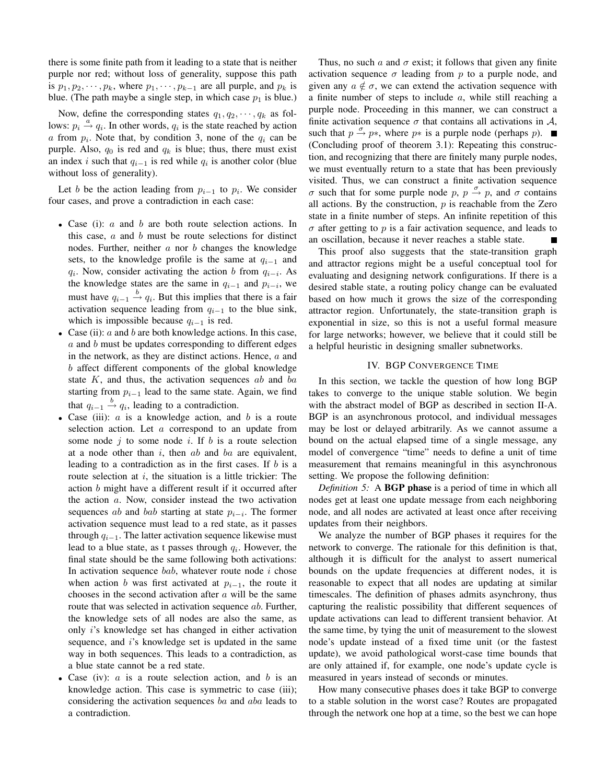there is some finite path from it leading to a state that is neither purple nor red; without loss of generality, suppose this path is  $p_1, p_2, \dots, p_k$ , where  $p_1, \dots, p_{k-1}$  are all purple, and  $p_k$  is blue. (The path maybe a single step, in which case  $p_1$  is blue.)

Now, define the corresponding states  $q_1, q_2, \dots, q_k$  as follows:  $p_i \stackrel{a}{\rightarrow} q_i$ . In other words,  $q_i$  is the state reached by action a from  $p_i$ . Note that, by condition 3, none of the  $q_i$  can be purple. Also,  $q_0$  is red and  $q_k$  is blue; thus, there must exist an index i such that  $q_{i-1}$  is red while  $q_i$  is another color (blue without loss of generality).

Let b be the action leading from  $p_{i-1}$  to  $p_i$ . We consider four cases, and prove a contradiction in each case:

- Case (i): *a* and *b* are both route selection actions. In this case,  $a$  and  $b$  must be route selections for distinct nodes. Further, neither  $a$  nor  $b$  changes the knowledge sets, to the knowledge profile is the same at  $q_{i-1}$  and  $q_i$ . Now, consider activating the action b from  $q_{i-i}$ . As the knowledge states are the same in  $q_{i-1}$  and  $p_{i-i}$ , we must have  $q_{i-1} \stackrel{b}{\rightarrow} q_i$ . But this implies that there is a fair activation sequence leading from  $q_{i-1}$  to the blue sink, which is impossible because  $q_{i-1}$  is red.
- Case (ii):  $a$  and  $b$  are both knowledge actions. In this case, a and b must be updates corresponding to different edges in the network, as they are distinct actions. Hence,  $a$  and b affect different components of the global knowledge state  $K$ , and thus, the activation sequences  $ab$  and  $ba$ starting from  $p_{i-1}$  lead to the same state. Again, we find that  $q_{i-1} \stackrel{b}{\rightarrow} q_i$ , leading to a contradiction.
- Case (iii):  $a$  is a knowledge action, and  $b$  is a route selection action. Let  $a$  correspond to an update from some node  $j$  to some node  $i$ . If  $b$  is a route selection at a node other than  $i$ , then  $ab$  and  $ba$  are equivalent, leading to a contradiction as in the first cases. If b is a route selection at  $i$ , the situation is a little trickier: The action b might have a different result if it occurred after the action a. Now, consider instead the two activation sequences *ab* and *bab* starting at state  $p_{i-i}$ . The former activation sequence must lead to a red state, as it passes through  $q_{i-1}$ . The latter activation sequence likewise must lead to a blue state, as t passes through  $q_i$ . However, the final state should be the same following both activations: In activation sequence  $bab$ , whatever route node  $i$  chose when action b was first activated at  $p_{i-1}$ , the route it chooses in the second activation after  $a$  will be the same route that was selected in activation sequence *ab*. Further, the knowledge sets of all nodes are also the same, as only i's knowledge set has changed in either activation sequence, and i's knowledge set is updated in the same way in both sequences. This leads to a contradiction, as a blue state cannot be a red state.
- Case (iv):  $a$  is a route selection action, and  $b$  is an knowledge action. This case is symmetric to case (iii); considering the activation sequences ba and aba leads to a contradiction.

Thus, no such a and  $\sigma$  exist; it follows that given any finite activation sequence  $\sigma$  leading from p to a purple node, and given any  $a \notin \sigma$ , we can extend the activation sequence with a finite number of steps to include  $a$ , while still reaching a purple node. Proceeding in this manner, we can construct a finite activation sequence  $\sigma$  that contains all activations in A, such that  $p \stackrel{\sigma}{\rightarrow} p*$ , where  $p*$  is a purple node (perhaps p). (Concluding proof of theorem 3.1): Repeating this construction, and recognizing that there are finitely many purple nodes, we must eventually return to a state that has been previously visited. Thus, we can construct a finite activation sequence  $σ$  such that for some purple node p,  $p \stackrel{\sigma}{\rightarrow} p$ , and  $σ$  contains all actions. By the construction,  $p$  is reachable from the Zero state in a finite number of steps. An infinite repetition of this  $\sigma$  after getting to p is a fair activation sequence, and leads to an oscillation, because it never reaches a stable state.

This proof also suggests that the state-transition graph and attractor regions might be a useful conceptual tool for evaluating and designing network configurations. If there is a desired stable state, a routing policy change can be evaluated based on how much it grows the size of the corresponding attractor region. Unfortunately, the state-transition graph is exponential in size, so this is not a useful formal measure for large networks; however, we believe that it could still be a helpful heuristic in designing smaller subnetworks.

#### IV. BGP CONVERGENCE TIME

In this section, we tackle the question of how long BGP takes to converge to the unique stable solution. We begin with the abstract model of BGP as described in section II-A. BGP is an asynchronous protocol, and individual messages may be lost or delayed arbitrarily. As we cannot assume a bound on the actual elapsed time of a single message, any model of convergence "time" needs to define a unit of time measurement that remains meaningful in this asynchronous setting. We propose the following definition:

*Definition 5:* A **BGP phase** is a period of time in which all nodes get at least one update message from each neighboring node, and all nodes are activated at least once after receiving updates from their neighbors.

We analyze the number of BGP phases it requires for the network to converge. The rationale for this definition is that, although it is difficult for the analyst to assert numerical bounds on the update frequencies at different nodes, it is reasonable to expect that all nodes are updating at similar timescales. The definition of phases admits asynchrony, thus capturing the realistic possibility that different sequences of update activations can lead to different transient behavior. At the same time, by tying the unit of measurement to the slowest node's update instead of a fixed time unit (or the fastest update), we avoid pathological worst-case time bounds that are only attained if, for example, one node's update cycle is measured in years instead of seconds or minutes.

How many consecutive phases does it take BGP to converge to a stable solution in the worst case? Routes are propagated through the network one hop at a time, so the best we can hope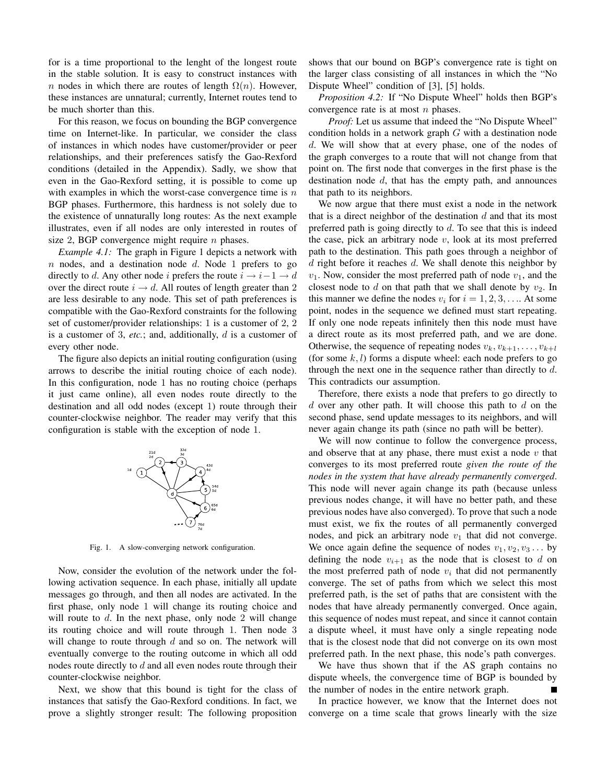for is a time proportional to the lenght of the longest route in the stable solution. It is easy to construct instances with n nodes in which there are routes of length  $\Omega(n)$ . However, these instances are unnatural; currently, Internet routes tend to be much shorter than this.

For this reason, we focus on bounding the BGP convergence time on Internet-like. In particular, we consider the class of instances in which nodes have customer/provider or peer relationships, and their preferences satisfy the Gao-Rexford conditions (detailed in the Appendix). Sadly, we show that even in the Gao-Rexford setting, it is possible to come up with examples in which the worst-case convergence time is  $n$ BGP phases. Furthermore, this hardness is not solely due to the existence of unnaturally long routes: As the next example illustrates, even if all nodes are only interested in routes of size 2, BGP convergence might require  $n$  phases.

*Example 4.1:* The graph in Figure 1 depicts a network with  $n$  nodes, and a destination node  $d$ . Node 1 prefers to go directly to d. Any other node i prefers the route  $i \rightarrow i-1 \rightarrow d$ over the direct route  $i \rightarrow d$ . All routes of length greater than 2 are less desirable to any node. This set of path preferences is compatible with the Gao-Rexford constraints for the following set of customer/provider relationships: 1 is a customer of 2, 2 is a customer of 3, *etc.*; and, additionally, d is a customer of every other node.

The figure also depicts an initial routing configuration (using arrows to describe the initial routing choice of each node). In this configuration, node 1 has no routing choice (perhaps it just came online), all even nodes route directly to the destination and all odd nodes (except 1) route through their counter-clockwise neighbor. The reader may verify that this configuration is stable with the exception of node 1.



Fig. 1. A slow-converging network configuration.

Now, consider the evolution of the network under the following activation sequence. In each phase, initially all update messages go through, and then all nodes are activated. In the first phase, only node 1 will change its routing choice and will route to  $d$ . In the next phase, only node 2 will change its routing choice and will route through 1. Then node 3 will change to route through  $d$  and so on. The network will eventually converge to the routing outcome in which all odd nodes route directly to d and all even nodes route through their counter-clockwise neighbor.

Next, we show that this bound is tight for the class of instances that satisfy the Gao-Rexford conditions. In fact, we prove a slightly stronger result: The following proposition shows that our bound on BGP's convergence rate is tight on the larger class consisting of all instances in which the "No Dispute Wheel" condition of [3], [5] holds.

*Proposition 4.2:* If "No Dispute Wheel" holds then BGP's convergence rate is at most  $n$  phases.

*Proof:* Let us assume that indeed the "No Dispute Wheel" condition holds in a network graph G with a destination node d. We will show that at every phase, one of the nodes of the graph converges to a route that will not change from that point on. The first node that converges in the first phase is the destination node  $d$ , that has the empty path, and announces that path to its neighbors.

We now argue that there must exist a node in the network that is a direct neighbor of the destination  $d$  and that its most preferred path is going directly to  $d$ . To see that this is indeed the case, pick an arbitrary node  $v$ , look at its most preferred path to the destination. This path goes through a neighbor of d right before it reaches  $d$ . We shall denote this neighbor by  $v_1$ . Now, consider the most preferred path of node  $v_1$ , and the closest node to d on that path that we shall denote by  $v_2$ . In this manner we define the nodes  $v_i$  for  $i = 1, 2, 3, \ldots$ . At some point, nodes in the sequence we defined must start repeating. If only one node repeats infinitely then this node must have a direct route as its most preferred path, and we are done. Otherwise, the sequence of repeating nodes  $v_k, v_{k+1}, \ldots, v_{k+l}$ (for some  $k, l$ ) forms a dispute wheel: each node prefers to go through the next one in the sequence rather than directly to  $d$ . This contradicts our assumption.

Therefore, there exists a node that prefers to go directly to  $d$  over any other path. It will choose this path to  $d$  on the second phase, send update messages to its neighbors, and will never again change its path (since no path will be better).

We will now continue to follow the convergence process, and observe that at any phase, there must exist a node  $v$  that converges to its most preferred route *given the route of the nodes in the system that have already permanently converged*. This node will never again change its path (because unless previous nodes change, it will have no better path, and these previous nodes have also converged). To prove that such a node must exist, we fix the routes of all permanently converged nodes, and pick an arbitrary node  $v_1$  that did not converge. We once again define the sequence of nodes  $v_1, v_2, v_3 \dots$  by defining the node  $v_{i+1}$  as the node that is closest to d on the most preferred path of node  $v_i$  that did not permanently converge. The set of paths from which we select this most preferred path, is the set of paths that are consistent with the nodes that have already permanently converged. Once again, this sequence of nodes must repeat, and since it cannot contain a dispute wheel, it must have only a single repeating node that is the closest node that did not converge on its own most preferred path. In the next phase, this node's path converges.

We have thus shown that if the AS graph contains no dispute wheels, the convergence time of BGP is bounded by the number of nodes in the entire network graph.

In practice however, we know that the Internet does not converge on a time scale that grows linearly with the size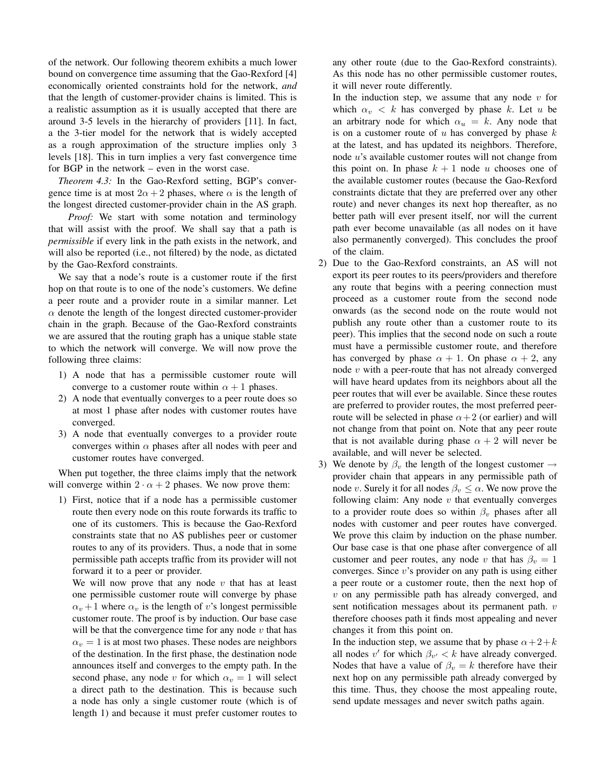of the network. Our following theorem exhibits a much lower bound on convergence time assuming that the Gao-Rexford [4] economically oriented constraints hold for the network, *and* that the length of customer-provider chains is limited. This is a realistic assumption as it is usually accepted that there are around 3-5 levels in the hierarchy of providers [11]. In fact, a the 3-tier model for the network that is widely accepted as a rough approximation of the structure implies only 3 levels [18]. This in turn implies a very fast convergence time for BGP in the network – even in the worst case.

*Theorem 4.3:* In the Gao-Rexford setting, BGP's convergence time is at most  $2\alpha + 2$  phases, where  $\alpha$  is the length of the longest directed customer-provider chain in the AS graph.

*Proof:* We start with some notation and terminology that will assist with the proof. We shall say that a path is *permissible* if every link in the path exists in the network, and will also be reported (i.e., not filtered) by the node, as dictated by the Gao-Rexford constraints.

We say that a node's route is a customer route if the first hop on that route is to one of the node's customers. We define a peer route and a provider route in a similar manner. Let  $\alpha$  denote the length of the longest directed customer-provider chain in the graph. Because of the Gao-Rexford constraints we are assured that the routing graph has a unique stable state to which the network will converge. We will now prove the following three claims:

- 1) A node that has a permissible customer route will converge to a customer route within  $\alpha + 1$  phases.
- 2) A node that eventually converges to a peer route does so at most 1 phase after nodes with customer routes have converged.
- 3) A node that eventually converges to a provider route converges within  $\alpha$  phases after all nodes with peer and customer routes have converged.

When put together, the three claims imply that the network will converge within  $2 \cdot \alpha + 2$  phases. We now prove them:

1) First, notice that if a node has a permissible customer route then every node on this route forwards its traffic to one of its customers. This is because the Gao-Rexford constraints state that no AS publishes peer or customer routes to any of its providers. Thus, a node that in some permissible path accepts traffic from its provider will not forward it to a peer or provider.

We will now prove that any node  $v$  that has at least one permissible customer route will converge by phase  $\alpha_v + 1$  where  $\alpha_v$  is the length of v's longest permissible customer route. The proof is by induction. Our base case will be that the convergence time for any node  $v$  that has  $\alpha_v = 1$  is at most two phases. These nodes are neighbors of the destination. In the first phase, the destination node announces itself and converges to the empty path. In the second phase, any node v for which  $\alpha_v = 1$  will select a direct path to the destination. This is because such a node has only a single customer route (which is of length 1) and because it must prefer customer routes to

any other route (due to the Gao-Rexford constraints). As this node has no other permissible customer routes, it will never route differently.

In the induction step, we assume that any node  $v$  for which  $\alpha_v < k$  has converged by phase k. Let u be an arbitrary node for which  $\alpha_u = k$ . Any node that is on a customer route of  $u$  has converged by phase  $k$ at the latest, and has updated its neighbors. Therefore, node u's available customer routes will not change from this point on. In phase  $k + 1$  node u chooses one of the available customer routes (because the Gao-Rexford constraints dictate that they are preferred over any other route) and never changes its next hop thereafter, as no better path will ever present itself, nor will the current path ever become unavailable (as all nodes on it have also permanently converged). This concludes the proof of the claim.

- 2) Due to the Gao-Rexford constraints, an AS will not export its peer routes to its peers/providers and therefore any route that begins with a peering connection must proceed as a customer route from the second node onwards (as the second node on the route would not publish any route other than a customer route to its peer). This implies that the second node on such a route must have a permissible customer route, and therefore has converged by phase  $\alpha + 1$ . On phase  $\alpha + 2$ , any node v with a peer-route that has not already converged will have heard updates from its neighbors about all the peer routes that will ever be available. Since these routes are preferred to provider routes, the most preferred peerroute will be selected in phase  $\alpha+2$  (or earlier) and will not change from that point on. Note that any peer route that is not available during phase  $\alpha + 2$  will never be available, and will never be selected.
- 3) We denote by  $\beta_{\nu}$  the length of the longest customer  $\rightarrow$ provider chain that appears in any permissible path of node v. Surely it for all nodes  $\beta_v \leq \alpha$ . We now prove the following claim: Any node  $v$  that eventually converges to a provider route does so within  $\beta_v$  phases after all nodes with customer and peer routes have converged. We prove this claim by induction on the phase number. Our base case is that one phase after convergence of all customer and peer routes, any node v that has  $\beta_v = 1$ converges. Since v's provider on any path is using either a peer route or a customer route, then the next hop of  $v$  on any permissible path has already converged, and sent notification messages about its permanent path. v therefore chooses path it finds most appealing and never changes it from this point on.

In the induction step, we assume that by phase  $\alpha + 2 + k$ all nodes  $v'$  for which  $\beta_{v'} < k$  have already converged. Nodes that have a value of  $\beta_v = k$  therefore have their next hop on any permissible path already converged by this time. Thus, they choose the most appealing route, send update messages and never switch paths again.